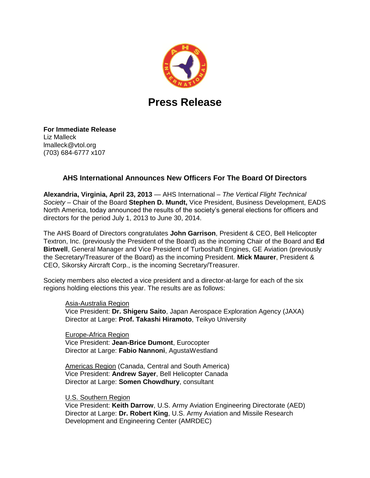

## **Press Release**

**For Immediate Release** Liz Malleck lmalleck@vtol.org (703) 684-6777 x107

## **AHS International Announces New Officers For The Board Of Directors**

**Alexandria, Virginia, April 23, 2013** — AHS International – *The Vertical Flight Technical Society* – Chair of the Board **Stephen D. Mundt,** Vice President, Business Development, EADS North America, today announced the results of the society's general elections for officers and directors for the period July 1, 2013 to June 30, 2014.

The AHS Board of Directors congratulates **John Garrison**, President & CEO, Bell Helicopter Textron, Inc. (previously the President of the Board) as the incoming Chair of the Board and **Ed Birtwell**, General Manager and Vice President of Turboshaft Engines, GE Aviation (previously the Secretary/Treasurer of the Board) as the incoming President. **Mick Maurer**, President & CEO, Sikorsky Aircraft Corp., is the incoming Secretary/Treasurer.

Society members also elected a vice president and a director-at-large for each of the six regions holding elections this year. The results are as follows:

## Asia-Australia Region

Vice President: **Dr. Shigeru Saito**, Japan Aerospace Exploration Agency (JAXA) Director at Large: **Prof. Takashi Hiramoto**, Teikyo University

Europe-Africa Region Vice President: **Jean-Brice Dumont**, Eurocopter Director at Large: **Fabio Nannoni**, AgustaWestland

Americas Region (Canada, Central and South America) Vice President: **Andrew Sayer**, Bell Helicopter Canada Director at Large: **Somen Chowdhury**, consultant

U.S. Southern Region

Vice President: **Keith Darrow**, U.S. Army Aviation Engineering Directorate (AED) Director at Large: **Dr. Robert King**, U.S. Army Aviation and Missile Research Development and Engineering Center (AMRDEC)